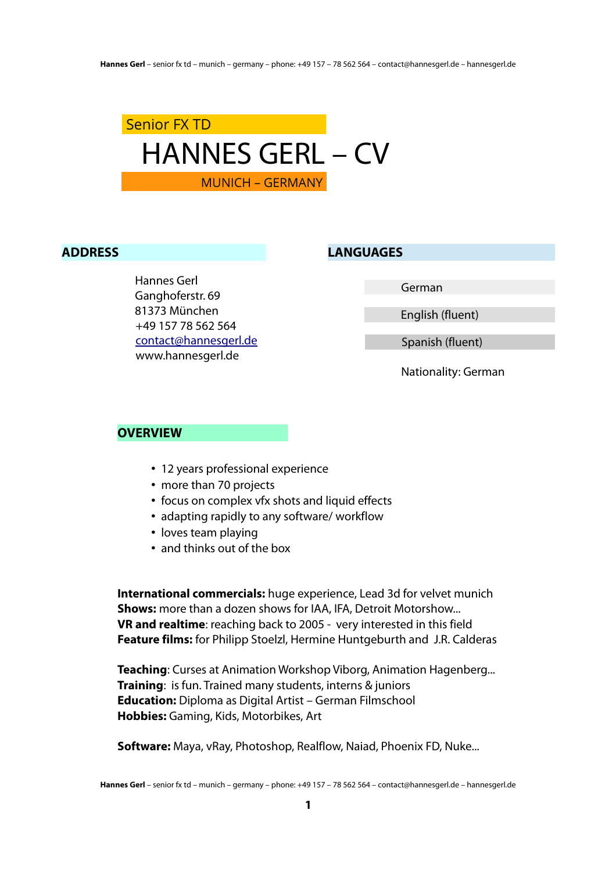

#### **ADDRESS**

Hannes Gerl Ganghoferstr. 69 81373 München +49 157 78 562 564 [contact@hannesgerl.de](mailto:contact@hannesgerl.de) www.hannesgerl.de

**LANGUAGES**

German

English (fluent)

Spanish (fluent)

Nationality: German

#### **OVERVIEW**

- 12 years professional experience
- more than 70 projects
- focus on complex vfx shots and liquid effects
- adapting rapidly to any software/ workflow
- loves team playing
- and thinks out of the box

**International commercials:** huge experience, Lead 3d for velvet munich **Shows:** more than a dozen shows for IAA, IFA, Detroit Motorshow... **VR and realtime**: reaching back to 2005 - very interested in this field **Feature films:** for Philipp Stoelzl, Hermine Huntgeburth and J.R. Calderas

**Teaching**: Curses at Animation Workshop Viborg, Animation Hagenberg... **Training**: is fun. Trained many students, interns & juniors **Education:** Diploma as Digital Artist – German Filmschool **Hobbies:** Gaming, Kids, Motorbikes, Art

**Software:** Maya, vRay, Photoshop, Realflow, Naiad, Phoenix FD, Nuke...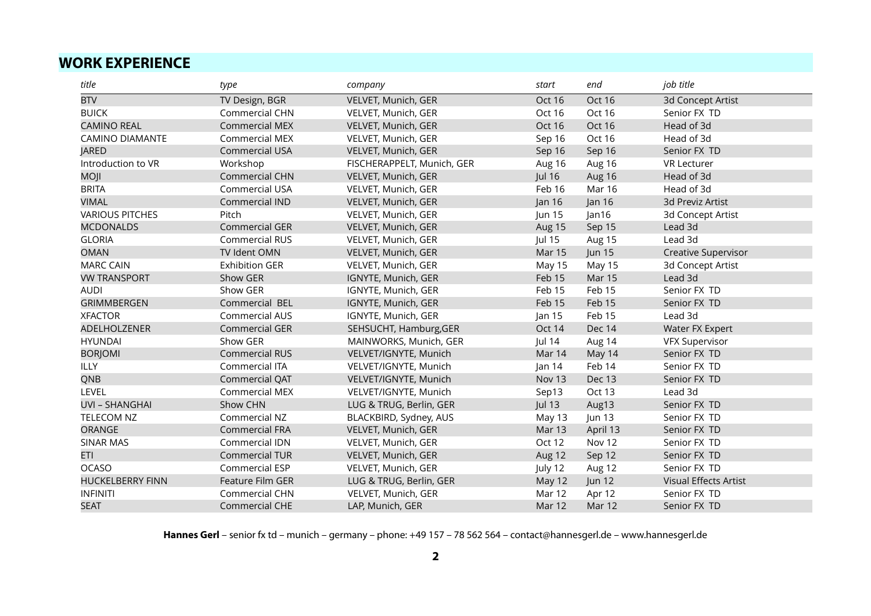### **WORK EXPERIENCE**

| title                   | type                  | company                    | start         | end           | job title                    |
|-------------------------|-----------------------|----------------------------|---------------|---------------|------------------------------|
| <b>BTV</b>              | TV Design, BGR        | VELVET, Munich, GER        | <b>Oct 16</b> | Oct 16        | 3d Concept Artist            |
| <b>BUICK</b>            | Commercial CHN        | VELVET, Munich, GER        | Oct 16        | Oct 16        | Senior FX TD                 |
| <b>CAMINO REAL</b>      | <b>Commercial MEX</b> | VELVET, Munich, GER        | Oct 16        | Oct 16        | Head of 3d                   |
| <b>CAMINO DIAMANTE</b>  | Commercial MEX        | VELVET, Munich, GER        | Sep 16        | Oct 16        | Head of 3d                   |
| <b>JARED</b>            | <b>Commercial USA</b> | VELVET, Munich, GER        | Sep 16        | Sep 16        | Senior FX TD                 |
| Introduction to VR      | Workshop              | FISCHERAPPELT, Munich, GER | Aug 16        | Aug 16        | <b>VR Lecturer</b>           |
| <b>MOJI</b>             | <b>Commercial CHN</b> | VELVET, Munich, GER        | <b>Jul 16</b> | Aug 16        | Head of 3d                   |
| <b>BRITA</b>            | Commercial USA        | VELVET, Munich, GER        | Feb 16        | <b>Mar 16</b> | Head of 3d                   |
| <b>VIMAL</b>            | Commercial IND        | VELVET, Munich, GER        | Jan 16        | Jan 16        | 3d Previz Artist             |
| <b>VARIOUS PITCHES</b>  | Pitch                 | VELVET, Munich, GER        | Jun 15        | Jan16         | 3d Concept Artist            |
| <b>MCDONALDS</b>        | <b>Commercial GER</b> | VELVET, Munich, GER        | Aug 15        | Sep 15        | Lead 3d                      |
| <b>GLORIA</b>           | <b>Commercial RUS</b> | VELVET, Munich, GER        | Jul 15        | Aug 15        | Lead 3d                      |
| <b>OMAN</b>             | TV Ident OMN          | VELVET, Munich, GER        | <b>Mar 15</b> | <b>Jun 15</b> | Creative Supervisor          |
| <b>MARC CAIN</b>        | <b>Exhibition GER</b> | VELVET, Munich, GER        | May 15        | May 15        | 3d Concept Artist            |
| <b>VW TRANSPORT</b>     | Show GER              | IGNYTE, Munich, GER        | Feb 15        | <b>Mar 15</b> | Lead 3d                      |
| <b>AUDI</b>             | Show GER              | IGNYTE, Munich, GER        | Feb 15        | Feb 15        | Senior FX TD                 |
| <b>GRIMMBERGEN</b>      | Commercial BEL        | IGNYTE, Munich, GER        | Feb 15        | Feb 15        | Senior FX TD                 |
| <b>XFACTOR</b>          | Commercial AUS        | IGNYTE, Munich, GER        | Jan $15$      | Feb 15        | Lead 3d                      |
| ADELHOLZENER            | Commercial GER        | SEHSUCHT, Hamburg, GER     | Oct 14        | Dec 14        | Water FX Expert              |
| <b>HYUNDAI</b>          | Show GER              | MAINWORKS, Munich, GER     | Jul 14        | Aug 14        | <b>VFX Supervisor</b>        |
| <b>BORJOMI</b>          | <b>Commercial RUS</b> | VELVET/IGNYTE, Munich      | Mar 14        | May 14        | Senior FX TD                 |
| <b>ILLY</b>             | Commercial ITA        | VELVET/IGNYTE, Munich      | an 14         | Feb 14        | Senior FX TD                 |
| QNB                     | Commercial QAT        | VELVET/IGNYTE, Munich      | Nov 13        | Dec 13        | Senior FX TD                 |
| LEVEL                   | <b>Commercial MEX</b> | VELVET/IGNYTE, Munich      | Sep13         | Oct 13        | Lead 3d                      |
| <b>UVI - SHANGHAI</b>   | Show CHN              | LUG & TRUG, Berlin, GER    | <b>Jul 13</b> | Aug13         | Senior FX TD                 |
| <b>TELECOM NZ</b>       | Commercial NZ         | BLACKBIRD, Sydney, AUS     | May 13        | <b>Jun 13</b> | Senior FX TD                 |
| ORANGE                  | <b>Commercial FRA</b> | VELVET, Munich, GER        | <b>Mar 13</b> | April 13      | Senior FX TD                 |
| <b>SINAR MAS</b>        | Commercial IDN        | VELVET, Munich, GER        | Oct 12        | Nov 12        | Senior FX TD                 |
| <b>ETI</b>              | <b>Commercial TUR</b> | VELVET, Munich, GER        | Aug 12        | Sep 12        | Senior FX TD                 |
| <b>OCASO</b>            | Commercial ESP        | VELVET, Munich, GER        | July 12       | Aug 12        | Senior FX TD                 |
| <b>HUCKELBERRY FINN</b> | Feature Film GER      | LUG & TRUG, Berlin, GER    | May 12        | <b>Jun 12</b> | <b>Visual Effects Artist</b> |
| <b>INFINITI</b>         | Commercial CHN        | VELVET, Munich, GER        | Mar 12        | Apr 12        | Senior FX TD                 |
| <b>SEAT</b>             | Commercial CHE        | LAP, Munich, GER           | Mar 12        | Mar 12        | Senior FX TD                 |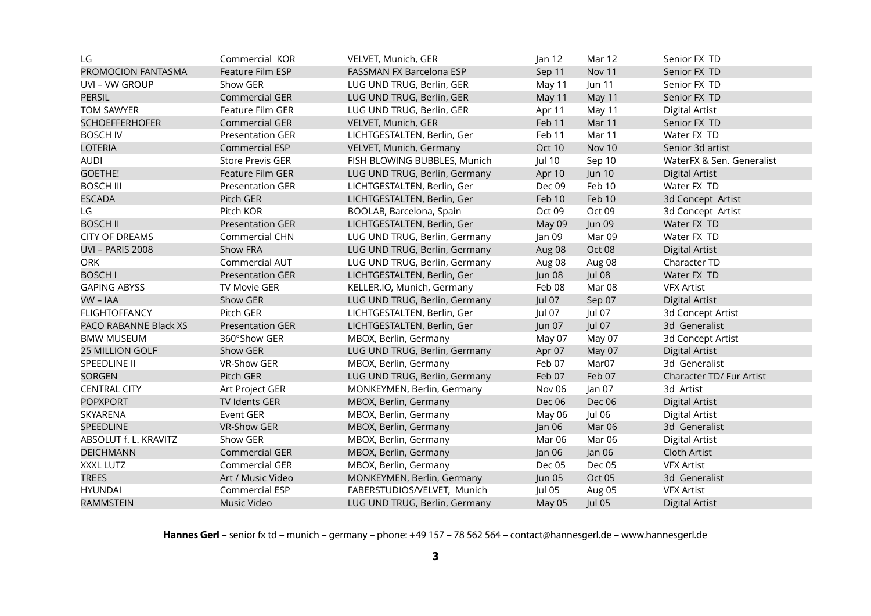| LG                        | Commercial KOR          | VELVET, Munich, GER           | an 12         | Mar 12        | Senior FX TD              |
|---------------------------|-------------------------|-------------------------------|---------------|---------------|---------------------------|
| <b>PROMOCION FANTASMA</b> | Feature Film ESP        | FASSMAN FX Barcelona ESP      | Sep 11        | Nov 11        | Senior FX TD              |
| UVI - VW GROUP            | Show GER                | LUG UND TRUG, Berlin, GER     | May 11        | Jun 11        | Senior FX TD              |
| <b>PERSIL</b>             | <b>Commercial GER</b>   | LUG UND TRUG, Berlin, GER     | May 11        | May 11        | Senior FX TD              |
| <b>TOM SAWYER</b>         | Feature Film GER        | LUG UND TRUG, Berlin, GER     | Apr 11        | May 11        | <b>Digital Artist</b>     |
| <b>SCHOEFFERHOFER</b>     | <b>Commercial GER</b>   | VELVET, Munich, GER           | Feb 11        | Mar 11        | Senior FX TD              |
| <b>BOSCH IV</b>           | <b>Presentation GER</b> | LICHTGESTALTEN, Berlin, Ger   | Feb 11        | Mar 11        | Water FX TD               |
| <b>LOTERIA</b>            | Commercial ESP          | VELVET, Munich, Germany       | Oct 10        | Nov 10        | Senior 3d artist          |
| <b>AUDI</b>               | <b>Store Previs GER</b> | FISH BLOWING BUBBLES, Munich  | <b>Jul 10</b> | Sep 10        | WaterFX & Sen. Generalist |
| <b>GOETHE!</b>            | <b>Feature Film GER</b> | LUG UND TRUG, Berlin, Germany | Apr 10        | <b>Jun 10</b> | <b>Digital Artist</b>     |
| <b>BOSCH III</b>          | <b>Presentation GER</b> | LICHTGESTALTEN, Berlin, Ger   | Dec 09        | Feb 10        | Water FX TD               |
| <b>ESCADA</b>             | Pitch GER               | LICHTGESTALTEN, Berlin, Ger   | Feb 10        | Feb 10        | 3d Concept Artist         |
| LG                        | Pitch KOR               | BOOLAB, Barcelona, Spain      | Oct 09        | Oct 09        | 3d Concept Artist         |
| <b>BOSCH II</b>           | <b>Presentation GER</b> | LICHTGESTALTEN, Berlin, Ger   | May 09        | <b>Jun 09</b> | Water FX TD               |
| <b>CITY OF DREAMS</b>     | Commercial CHN          | LUG UND TRUG, Berlin, Germany | Jan 09        | Mar 09        | Water FX TD               |
| <b>UVI - PARIS 2008</b>   | Show FRA                | LUG UND TRUG, Berlin, Germany | Aug 08        | Oct 08        | <b>Digital Artist</b>     |
| ORK                       | Commercial AUT          | LUG UND TRUG, Berlin, Germany | Aug 08        | Aug 08        | Character TD              |
| <b>BOSCH I</b>            | <b>Presentation GER</b> | LICHTGESTALTEN, Berlin, Ger   | Jun 08        | <b>Jul 08</b> | Water FX TD               |
| <b>GAPING ABYSS</b>       | <b>TV Movie GER</b>     | KELLER.IO, Munich, Germany    | Feb 08        | Mar 08        | <b>VFX Artist</b>         |
| VW - IAA                  | Show GER                | LUG UND TRUG, Berlin, Germany | Jul 07        | Sep 07        | <b>Digital Artist</b>     |
| <b>FLIGHTOFFANCY</b>      | Pitch GER               | LICHTGESTALTEN, Berlin, Ger   | Jul 07        | Jul 07        | 3d Concept Artist         |
| PACO RABANNE Black XS     | <b>Presentation GER</b> | LICHTGESTALTEN, Berlin, Ger   | Jun 07        | <b>Jul 07</b> | 3d Generalist             |
| <b>BMW MUSEUM</b>         | 360°Show GER            | MBOX, Berlin, Germany         | May 07        | May 07        | 3d Concept Artist         |
| <b>25 MILLION GOLF</b>    | Show GER                | LUG UND TRUG, Berlin, Germany | Apr 07        | May 07        | <b>Digital Artist</b>     |
| SPEEDLINE II              | VR-Show GER             | MBOX, Berlin, Germany         | Feb 07        | Mar07         | 3d Generalist             |
| <b>SORGEN</b>             | Pitch GER               | LUG UND TRUG, Berlin, Germany | Feb 07        | Feb 07        | Character TD/ Fur Artist  |
| <b>CENTRAL CITY</b>       | Art Project GER         | MONKEYMEN, Berlin, Germany    | Nov 06        | Jan 07        | 3d Artist                 |
| <b>POPXPORT</b>           | TV Idents GER           | MBOX, Berlin, Germany         | Dec 06        | Dec 06        | <b>Digital Artist</b>     |
| SKYARENA                  | Event GER               | MBOX, Berlin, Germany         | May 06        | Jul 06        | <b>Digital Artist</b>     |
| <b>SPEEDLINE</b>          | <b>VR-Show GER</b>      | MBOX, Berlin, Germany         | Jan 06        | <b>Mar 06</b> | 3d Generalist             |
| ABSOLUT f. L. KRAVITZ     | Show GER                | MBOX, Berlin, Germany         | <b>Mar 06</b> | Mar 06        | <b>Digital Artist</b>     |
| <b>DEICHMANN</b>          | <b>Commercial GER</b>   | MBOX, Berlin, Germany         | Jan 06        | Jan 06        | Cloth Artist              |
| XXXL LUTZ                 | Commercial GER          | MBOX, Berlin, Germany         | Dec 05        | Dec 05        | <b>VFX Artist</b>         |
| <b>TREES</b>              | Art / Music Video       | MONKEYMEN, Berlin, Germany    | Jun 05        | Oct 05        | 3d Generalist             |
| <b>HYUNDAI</b>            | Commercial ESP          | FABERSTUDIOS/VELVET, Munich   | Jul 05        | Aug 05        | <b>VFX Artist</b>         |
| <b>RAMMSTEIN</b>          | Music Video             | LUG UND TRUG, Berlin, Germany | May 05        | <b>Jul 05</b> | <b>Digital Artist</b>     |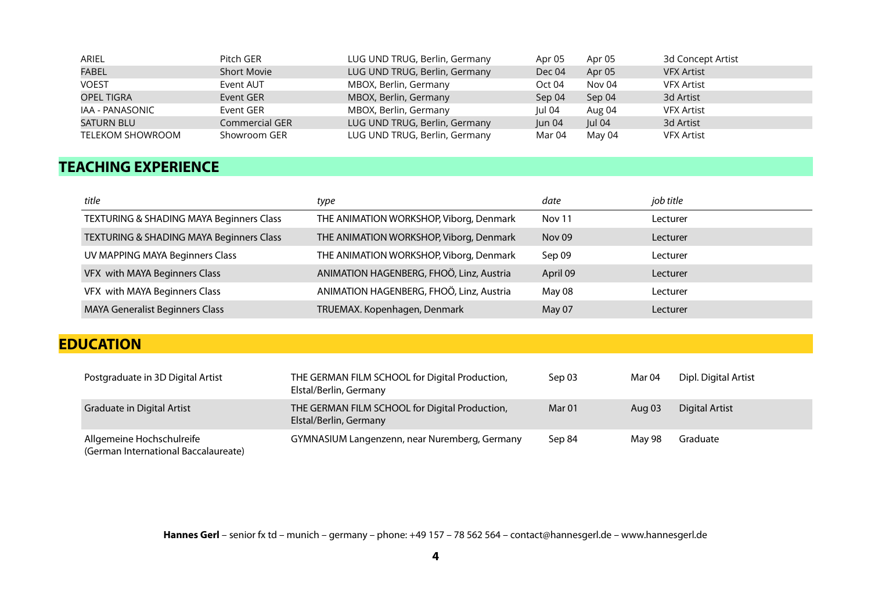| ARIEL                   | Pitch GER          | LUG UND TRUG, Berlin, Germany | Apr 05 | Apr 05 | 3d Concept Artist |
|-------------------------|--------------------|-------------------------------|--------|--------|-------------------|
| <b>FABEL</b>            | <b>Short Movie</b> | LUG UND TRUG, Berlin, Germany | Dec 04 | Apr 05 | <b>VFX Artist</b> |
| <b>VOEST</b>            | Event AUT          | MBOX, Berlin, Germany         | Oct 04 | Nov 04 | <b>VFX Artist</b> |
| OPEL TIGRA              | Event GER          | MBOX, Berlin, Germany         | Sep 04 | Sep 04 | 3d Artist         |
| IAA - PANASONIC         | Event GER          | MBOX, Berlin, Germany         | Jul 04 | Aug 04 | <b>VFX Artist</b> |
| <b>SATURN BLU</b>       | Commercial GER     | LUG UND TRUG, Berlin, Germany | un 04  | Jul 04 | 3d Artist         |
| <b>TELEKOM SHOWROOM</b> | Showroom GER       | LUG UND TRUG, Berlin, Germany | Mar 04 | May 04 | <b>VFX Artist</b> |

## **TEACHING EXPERIENCE**

| title                                               | type                                     | date     | job title |
|-----------------------------------------------------|------------------------------------------|----------|-----------|
| <b>TEXTURING &amp; SHADING MAYA Beginners Class</b> | THE ANIMATION WORKSHOP, Viborg, Denmark  | Nov 11   | Lecturer  |
| TEXTURING & SHADING MAYA Beginners Class            | THE ANIMATION WORKSHOP, Viborg, Denmark  | Nov 09   | Lecturer  |
| UV MAPPING MAYA Beginners Class                     | THE ANIMATION WORKSHOP, Viborg, Denmark  | Sep 09   | Lecturer  |
| VFX with MAYA Beginners Class                       | ANIMATION HAGENBERG, FHOÖ, Linz, Austria | April 09 | Lecturer  |
| VFX with MAYA Beginners Class                       | ANIMATION HAGENBERG, FHOÖ, Linz, Austria | May 08   | Lecturer  |
| MAYA Generalist Beginners Class                     | TRUEMAX. Kopenhagen, Denmark             | May 07   | Lecturer  |
|                                                     |                                          |          |           |

# **EDUCATION**

| Postgraduate in 3D Digital Artist                                 | THE GERMAN FILM SCHOOL for Digital Production,<br>Elstal/Berlin, Germany | Sep 03 | Mar 04   | Dipl. Digital Artist  |
|-------------------------------------------------------------------|--------------------------------------------------------------------------|--------|----------|-----------------------|
| <b>Graduate in Digital Artist</b>                                 | THE GERMAN FILM SCHOOL for Digital Production,<br>Elstal/Berlin, Germany | Mar 01 | Aug $03$ | <b>Digital Artist</b> |
| Allgemeine Hochschulreife<br>(German International Baccalaureate) | GYMNASIUM Langenzenn, near Nuremberg, Germany                            | Sep 84 | Mav 98   | Graduate              |